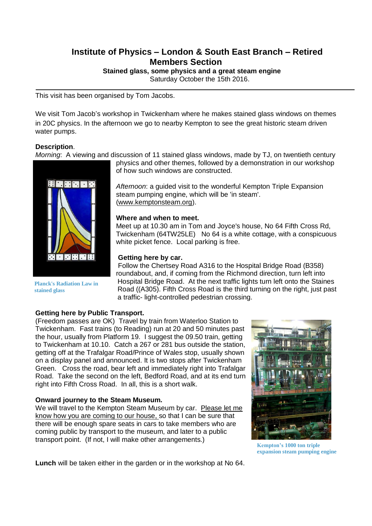# **Institute of Physics – London & South East Branch – Retired Members Section**

**Stained glass, some physics and a great steam engine**

Saturday October the 15th 2016.

This visit has been organised by Tom Jacobs.

We visit Tom Jacob's workshop in Twickenham where he makes stained glass windows on themes in 20C physics. In the afternoon we go to nearby Kempton to see the great historic steam driven water pumps.

## **Description**.

*Morning*: A viewing and discussion of 11 stained glass windows, made by TJ, on twentieth century



**Planck's Radiation Law in stained glass**

physics and other themes, followed by a demonstration in our workshop of how such windows are constructed.

*Afternoon*: a guided visit to the wonderful Kempton Triple Expansion steam pumping engine, which will be 'in steam'. [\(www.kemptonsteam.org\)](http://www.kemptonsteam.org/).

#### **Where and when to meet.**

Meet up at 10.30 am in Tom and Joyce's house, No 64 Fifth Cross Rd, Twickenham (64TW25LE) No 64 is a white cottage, with a conspicuous white picket fence. Local parking is free.

#### **Getting here by car.**

Follow the Chertsey Road A316 to the Hospital Bridge Road (B358) roundabout, and, if coming from the Richmond direction, turn left into Hospital Bridge Road. At the next traffic lights turn left onto the Staines Road ((A305). Fifth Cross Road is the third turning on the right, just past a traffic- light-controlled pedestrian crossing.

# **Getting here by Public Transport.**

(Freedom passes are OK) Travel by train from Waterloo Station to Twickenham. Fast trains (to Reading) run at 20 and 50 minutes past the hour, usually from Platform 19. I suggest the 09.50 train, getting to Twickenham at 10.10. Catch a 267 or 281 bus outside the station, getting off at the Trafalgar Road/Prince of Wales stop, usually shown on a display panel and announced. It is two stops after Twickenham Green. Cross the road, bear left and immediately right into Trafalgar Road. Take the second on the left, Bedford Road, and at its end turn right into Fifth Cross Road. In all, this is a short walk.

## **Onward journey to the Steam Museum.**

We will travel to the Kempton Steam Museum by car. Please let me know how you are coming to our house, so that I can be sure that there will be enough spare seats in cars to take members who are coming public by transport to the museum, and later to a public transport point. (If not, I will make other arrangements.)



**Kempton's 1000 ton triple expansion steam pumping engine**

**Lunch** will be taken either in the garden or in the workshop at No 64.